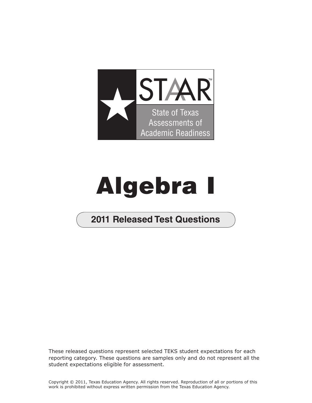

## Algebra I

## **2011 Released Test Questions**

These released questions represent selected TEKS student expectations for each reporting category. These questions are samples only and do not represent all the student expectations eligible for assessment.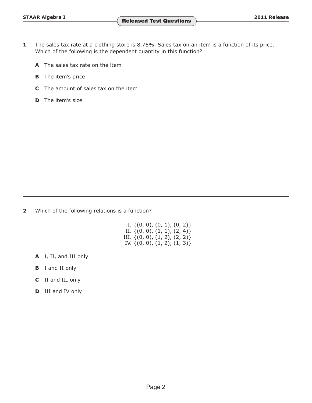- **1** The sales tax rate at a clothing store is 8.75%. Sales tax on an item is a function of its price. Which of the following is the dependent quantity in this function?
	- **A** The sales tax rate on the item
	- **B** The item's price
	- **C** The amount of sales tax on the item
	- **D** The item's size

**2** Which of the following relations is a function?

|  | I. $\{(0, 0), (0, 1), (0, 2)\}\$   |  |  |  |
|--|------------------------------------|--|--|--|
|  | II. $\{(0, 0), (1, 1), (2, 4)\}\$  |  |  |  |
|  | III. $\{(0, 0), (1, 2), (2, 2)\}\$ |  |  |  |
|  | IV. $\{(0, 0), (1, 2), (1, 3)\}$   |  |  |  |

- **A** I, II, and III only
- **B** I and II only
- **C** II and III only
- **D** III and IV only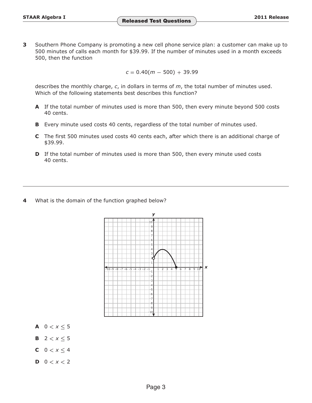**3** Southern Phone Company is promoting a new cell phone service plan: a customer can make up to 500 minutes of calls each month for \$39.99. If the number of minutes used in a month exceeds 500, then the function

 $c = 0.40(m - 500) + 39.99$ 

describes the monthly charge, *c*, in dollars in terms of *m*, the total number of minutes used. Which of the following statements best describes this function?

- **A** If the total number of minutes used is more than 500, then every minute beyond 500 costs 40 cents.
- **B** Every minute used costs 40 cents, regardless of the total number of minutes used.
- **C** The first 500 minutes used costs 40 cents each, after which there is an additional charge of \$39.99.
- **D** If the total number of minutes used is more than 500, then every minute used costs 40 cents.
- **4** What is the domain of the function graphed below?



- **A**  $0 < x \le 5$
- **B**  $2 < x < 5$
- **C**  $0 < x < 4$
- **D**  $0 < x < 2$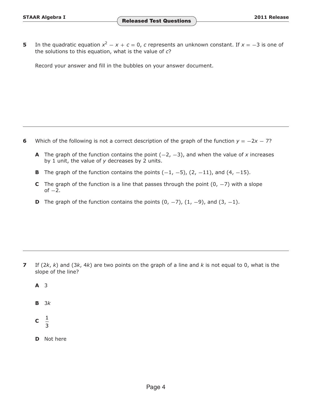**5** In the quadratic equation  $x^2 - x + c = 0$ , *c* represents an unknown constant. If  $x = -3$  is one of the solutions to this equation, what is the value of *c*?

Record your answer and fill in the bubbles on your answer document.

- **6** Which of the following is not a correct description of the graph of the function  $y = -2x 7$ ?
	- **A** The graph of the function contains the point (−2, −3), and when the value of *x* increases by 1 unit, the value of *y* decreases by 2 units.
	- **B** The graph of the function contains the points  $(-1, -5)$ ,  $(2, -11)$ , and  $(4, -15)$ .
	- **C** The graph of the function is a line that passes through the point  $(0, -7)$  with a slope of  $-2$ .
	- **D** The graph of the function contains the points  $(0, -7)$ ,  $(1, -9)$ , and  $(3, -1)$ .

- **7** If (2*k*, *k*) and (3*k*, 4*k*) are two points on the graph of a line and *k* is not equal to 0, what is the slope of the line?
	- **A** 3
	- **B** 3*k*
	- **c**  $\frac{1}{3}$
	- **D** Not here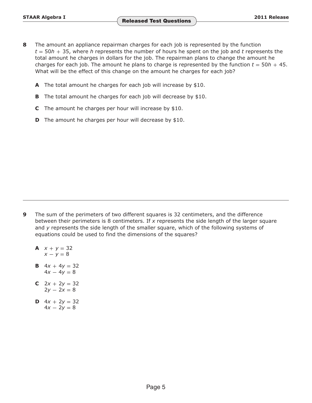- **8** The amount an appliance repairman charges for each job is represented by the function  $t = 50h + 35$ , where *h* represents the number of hours he spent on the job and *t* represents the total amount he charges in dollars for the job. The repairman plans to change the amount he charges for each job. The amount he plans to charge is represented by the function  $t = 50h + 45$ . What will be the effect of this change on the amount he charges for each job?
	- **A** The total amount he charges for each job will increase by \$10.
	- **B** The total amount he charges for each job will decrease by \$10.
	- **C** The amount he charges per hour will increase by \$10.
	- **D** The amount he charges per hour will decrease by \$10.

- **9** The sum of the perimeters of two different squares is 32 centimeters, and the difference between their perimeters is 8 centimeters. If *x* represents the side length of the larger square and *y* represents the side length of the smaller square, which of the following systems of equations could be used to find the dimensions of the squares?
	- **A**  $x + y = 32$  $x - y = 8$
	- **B**  $4x + 4y = 32$  $4x - 4y = 8$
	- **C**  $2x + 2y = 32$  $2y - 2x = 8$
	- **D**  $4x + 2y = 32$  $4x - 2y = 8$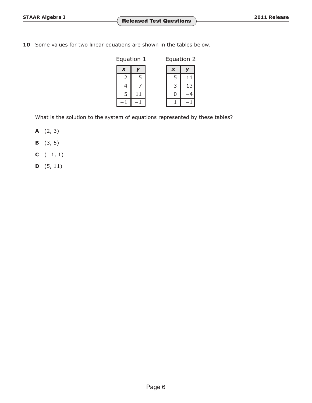10 Some values for two linear equations are shown in the tables below.

| Equation 1                |   | Equation 2   |  |  |
|---------------------------|---|--------------|--|--|
| $\boldsymbol{\mathsf{x}}$ |   | X            |  |  |
|                           | 5 | $\mathbf{r}$ |  |  |
|                           |   |              |  |  |
| 5                         |   |              |  |  |
|                           |   |              |  |  |

What is the solution to the system of equations represented by these tables?

- **A** (2, 3)
- **B** (3, 5)
- **C**  $(-1, 1)$
- **D** (5, 11)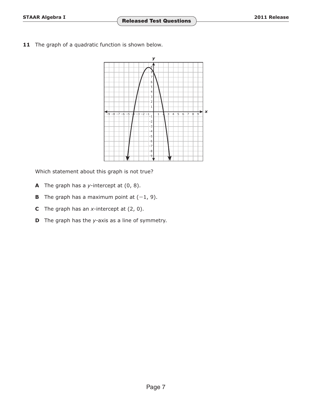**11** The graph of a quadratic function is shown below.



Which statement about this graph is not true?

- **A** The graph has a *y*-intercept at (0, 8).
- **B** The graph has a maximum point at  $(-1, 9)$ .
- **C** The graph has an *x*-intercept at (2, 0).
- **D** The graph has the *y*-axis as a line of symmetry.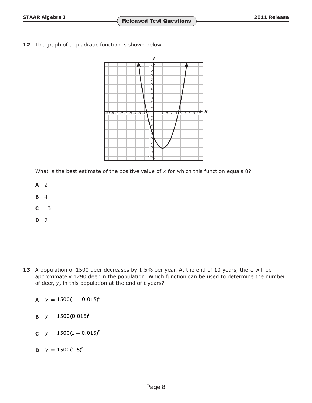**12** The graph of a quadratic function is shown below.



What is the best estimate of the positive value of x for which this function equals 8?

- **A** 2
- **B** 4
- **C** 13
- **D** 7

- **13** A population of 1500 deer decreases by 1.5% per year. At the end of 10 years, there will be approximately 1290 deer in the population. Which function can be used to determine the number of deer, *y*, in this population at the end of *t* years?
	- **A**  $y = 1500(1 0.015)^t$
	- **B**  $y = 1500(0.015)^t$
	- **C**  $y = 1500(1 + 0.015)^t$
	- **D**  $y = 1500(1.5)^t$